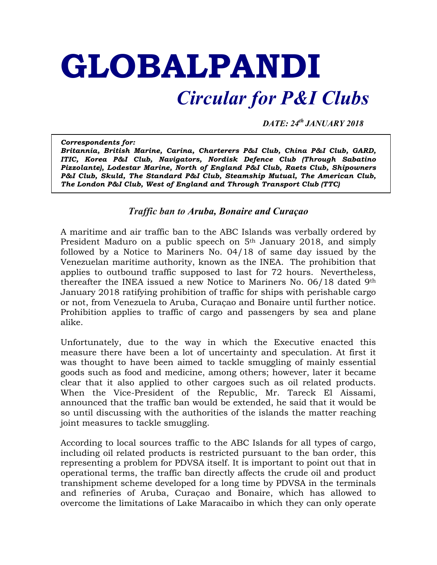## **GLOBALPANDI**

## *Circular for P&I Clubs*

*DATE: 24th JANUARY 2018*

*Correspondents for: Britannia, British Marine, Carina, Charterers P&I Club, China P&I Club, GARD, ITIC, Korea P&I Club, Navigators, Nordisk Defence Club (Through Sabatino Pizzolante), Lodestar Marine, North of England P&I Club, Raets Club, Shipowners P&I Club, Skuld, The Standard P&I Club, Steamship Mutual, The American Club, The London P&I Club, West of England and Through Transport Club (TTC)*

## *Traffic ban to Aruba, Bonaire and Curaçao*

A maritime and air traffic ban to the ABC Islands was verbally ordered by President Maduro on a public speech on 5<sup>th</sup> January 2018, and simply followed by a Notice to Mariners No. 04/18 of same day issued by the Venezuelan maritime authority, known as the INEA. The prohibition that applies to outbound traffic supposed to last for 72 hours. Nevertheless, thereafter the INEA issued a new Notice to Mariners No. 06/18 dated 9th January 2018 ratifying prohibition of traffic for ships with perishable cargo or not, from Venezuela to Aruba, Curaçao and Bonaire until further notice. Prohibition applies to traffic of cargo and passengers by sea and plane alike.

Unfortunately, due to the way in which the Executive enacted this measure there have been a lot of uncertainty and speculation. At first it was thought to have been aimed to tackle smuggling of mainly essential goods such as food and medicine, among others; however, later it became clear that it also applied to other cargoes such as oil related products. When the Vice-President of the Republic, Mr. Tareck El Aissami, announced that the traffic ban would be extended, he said that it would be so until discussing with the authorities of the islands the matter reaching joint measures to tackle smuggling.

According to local sources traffic to the ABC Islands for all types of cargo, including oil related products is restricted pursuant to the ban order, this representing a problem for PDVSA itself. It is important to point out that in operational terms, the traffic ban directly affects the crude oil and product transhipment scheme developed for a long time by PDVSA in the terminals and refineries of Aruba, Curaçao and Bonaire, which has allowed to overcome the limitations of Lake Maracaibo in which they can only operate